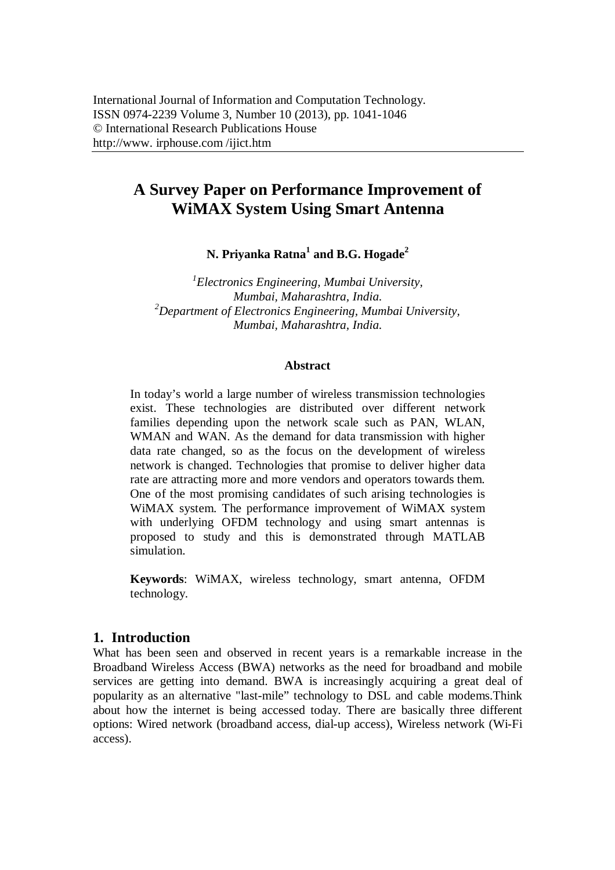# **A Survey Paper on Performance Improvement of WiMAX System Using Smart Antenna**

**N. Priyanka Ratna<sup>1</sup> and B.G. Hogade<sup>2</sup>**

*1 Electronics Engineering, Mumbai University, Mumbai, Maharashtra, India. <sup>2</sup>Department of Electronics Engineering, Mumbai University, Mumbai, Maharashtra, India.*

#### **Abstract**

In today's world a large number of wireless transmission technologies exist. These technologies are distributed over different network families depending upon the network scale such as PAN, WLAN, WMAN and WAN. As the demand for data transmission with higher data rate changed, so as the focus on the development of wireless network is changed. Technologies that promise to deliver higher data rate are attracting more and more vendors and operators towards them. One of the most promising candidates of such arising technologies is WiMAX system. The performance improvement of WiMAX system with underlying OFDM technology and using smart antennas is proposed to study and this is demonstrated through MATLAB simulation.

**Keywords**: WiMAX, wireless technology, smart antenna, OFDM technology.

## **1. Introduction**

What has been seen and observed in recent years is a remarkable increase in the Broadband Wireless Access (BWA) networks as the need for broadband and mobile services are getting into demand. BWA is increasingly acquiring a great deal of popularity as an alternative "last-mile" technology to DSL and cable modems.Think about how the internet is being accessed today. There are basically three different options: Wired network (broadband access, dial-up access), Wireless network (Wi-Fi access).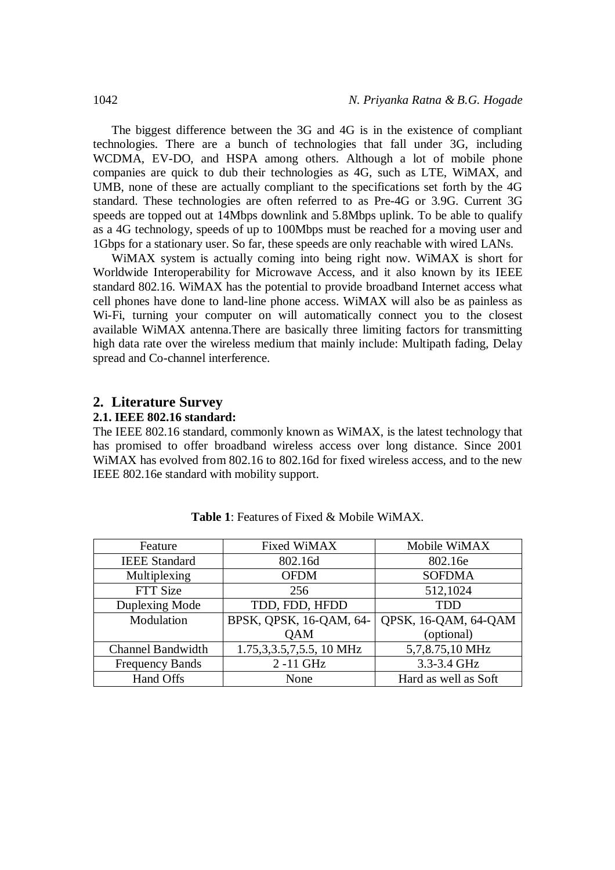The biggest difference between the 3G and 4G is in the existence of compliant technologies. There are a bunch of technologies that fall under 3G, including WCDMA, EV-DO, and HSPA among others. Although a lot of mobile phone companies are quick to dub their technologies as 4G, such as LTE, WiMAX, and UMB, none of these are actually compliant to the specifications set forth by the 4G standard. These technologies are often referred to as Pre-4G or 3.9G. Current 3G speeds are topped out at 14Mbps downlink and 5.8Mbps uplink. To be able to qualify as a 4G technology, speeds of up to 100Mbps must be reached for a moving user and 1Gbps for a stationary user. So far, these speeds are only reachable with wired LANs.

WiMAX system is actually coming into being right now. WiMAX is short for Worldwide Interoperability for Microwave Access, and it also known by its IEEE standard 802.16. WiMAX has the potential to provide broadband Internet access what cell phones have done to land-line phone access. WiMAX will also be as painless as Wi-Fi, turning your computer on will automatically connect you to the closest available WiMAX antenna.There are basically three limiting factors for transmitting high data rate over the wireless medium that mainly include: Multipath fading, Delay spread and Co-channel interference.

## **2. Literature Survey**

#### **2.1. IEEE 802.16 standard:**

The IEEE 802.16 standard, commonly known as WiMAX, is the latest technology that has promised to offer broadband wireless access over long distance. Since 2001 WiMAX has evolved from 802.16 to 802.16d for fixed wireless access, and to the new IEEE 802.16e standard with mobility support.

| Feature                  | <b>Fixed WiMAX</b>                                | Mobile WiMAX         |  |
|--------------------------|---------------------------------------------------|----------------------|--|
| <b>IEEE</b> Standard     | 802.16d                                           | 802.16e              |  |
| Multiplexing             | <b>OFDM</b>                                       | <b>SOFDMA</b>        |  |
| FTT Size                 | 256                                               | 512,1024             |  |
| Duplexing Mode           | TDD, FDD, HFDD                                    | <b>TDD</b>           |  |
| Modulation               | BPSK, QPSK, 16-QAM, 64-                           | QPSK, 16-QAM, 64-QAM |  |
|                          | <b>QAM</b>                                        | (optional)           |  |
| <b>Channel Bandwidth</b> | $\overline{1.75}, 3, 3.5, 7, 5.5, 10 \text{ MHz}$ | 5,7,8.75,10 MHz      |  |
| <b>Frequency Bands</b>   | 2-11 GHz                                          | 3.3-3.4 GHz          |  |
| Hand Offs                | None                                              | Hard as well as Soft |  |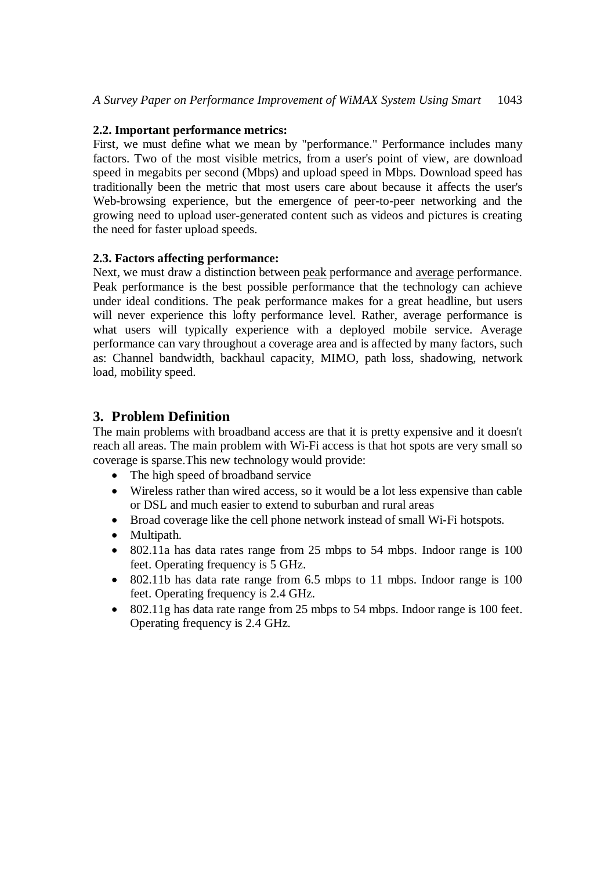## **2.2. Important performance metrics:**

First, we must define what we mean by "performance." Performance includes many factors. Two of the most visible metrics, from a user's point of view, are download speed in megabits per second (Mbps) and upload speed in Mbps. Download speed has traditionally been the metric that most users care about because it affects the user's Web-browsing experience, but the emergence of peer-to-peer networking and the growing need to upload user-generated content such as videos and pictures is creating the need for faster upload speeds.

## **2.3. Factors affecting performance:**

Next, we must draw a distinction between peak performance and average performance. Peak performance is the best possible performance that the technology can achieve under ideal conditions. The peak performance makes for a great headline, but users will never experience this lofty performance level. Rather, average performance is what users will typically experience with a deployed mobile service. Average performance can vary throughout a coverage area and is affected by many factors, such as: Channel bandwidth, backhaul capacity, MIMO, path loss, shadowing, network load, mobility speed.

# **3. Problem Definition**

The main problems with broadband access are that it is pretty expensive and it doesn't reach all areas. The main problem with Wi-Fi access is that hot spots are very small so coverage is sparse.This new technology would provide:

- The high speed of broadband service
- Wireless rather than wired access, so it would be a lot less expensive than cable or DSL and much easier to extend to suburban and rural areas
- Broad coverage like the cell phone network instead of small Wi-Fi hotspots.
- Multipath.
- 802.11a has data rates range from 25 mbps to 54 mbps. Indoor range is 100 feet. Operating frequency is 5 GHz.
- 802.11b has data rate range from 6.5 mbps to 11 mbps. Indoor range is 100 feet. Operating frequency is 2.4 GHz.
- 802.11g has data rate range from 25 mbps to 54 mbps. Indoor range is 100 feet. Operating frequency is 2.4 GHz.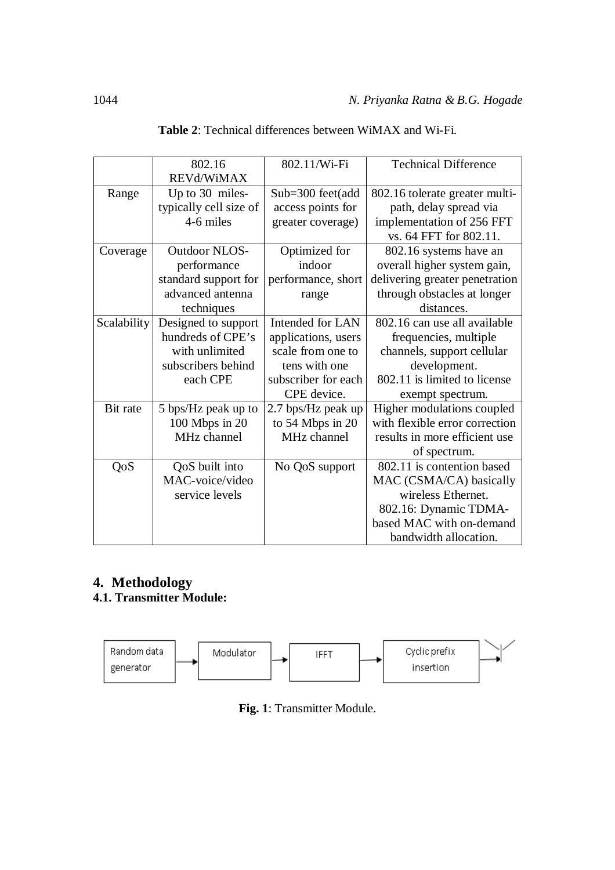| 802.16      |                        | <b>Technical Difference</b><br>802.11/Wi-Fi          |                                                          |  |
|-------------|------------------------|------------------------------------------------------|----------------------------------------------------------|--|
|             | REVd/WiMAX             |                                                      |                                                          |  |
| Range       | Up to 30 miles-        | $Sub=300$ feet(add                                   | 802.16 tolerate greater multi-<br>path, delay spread via |  |
|             | typically cell size of | access points for                                    |                                                          |  |
|             | 4-6 miles              | greater coverage)                                    | implementation of 256 FFT                                |  |
|             |                        |                                                      | vs. 64 FFT for 802.11.                                   |  |
| Coverage    | <b>Outdoor NLOS-</b>   | Optimized for                                        | 802.16 systems have an                                   |  |
|             | performance            | indoor                                               | overall higher system gain,                              |  |
|             | standard support for   | performance, short<br>delivering greater penetration |                                                          |  |
|             | advanced antenna       | through obstacles at longer<br>range                 |                                                          |  |
| techniques  |                        |                                                      | distances.                                               |  |
| Scalability | Designed to support    | Intended for LAN                                     | 802.16 can use all available                             |  |
|             | hundreds of CPE's      | applications, users                                  | frequencies, multiple                                    |  |
|             | with unlimited         | scale from one to                                    | channels, support cellular                               |  |
|             | subscribers behind     | tens with one                                        | development.                                             |  |
|             | each CPE               | subscriber for each                                  | 802.11 is limited to license                             |  |
|             |                        | CPE device.                                          | exempt spectrum.                                         |  |
| Bit rate    | 5 bps/Hz peak up to    | 2.7 bps/Hz peak up                                   | Higher modulations coupled                               |  |
|             | 100 Mbps in 20         | to 54 Mbps in 20                                     | with flexible error correction                           |  |
|             | MHz channel            | MHz channel                                          | results in more efficient use                            |  |
|             |                        |                                                      | of spectrum.                                             |  |
| QoS         | QoS built into         | No QoS support                                       | 802.11 is contention based                               |  |
|             | MAC-voice/video        |                                                      | MAC (CSMA/CA) basically                                  |  |
|             | service levels         |                                                      | wireless Ethernet.                                       |  |
|             |                        |                                                      | 802.16: Dynamic TDMA-                                    |  |
|             |                        |                                                      | based MAC with on-demand                                 |  |
|             |                        |                                                      | bandwidth allocation.                                    |  |

| <b>Table 2:</b> Technical differences between WiMAX and Wi-Fi. |  |  |  |
|----------------------------------------------------------------|--|--|--|
|----------------------------------------------------------------|--|--|--|

# **4. Methodology**

# **4.1. Transmitter Module:**



**Fig. 1**: Transmitter Module.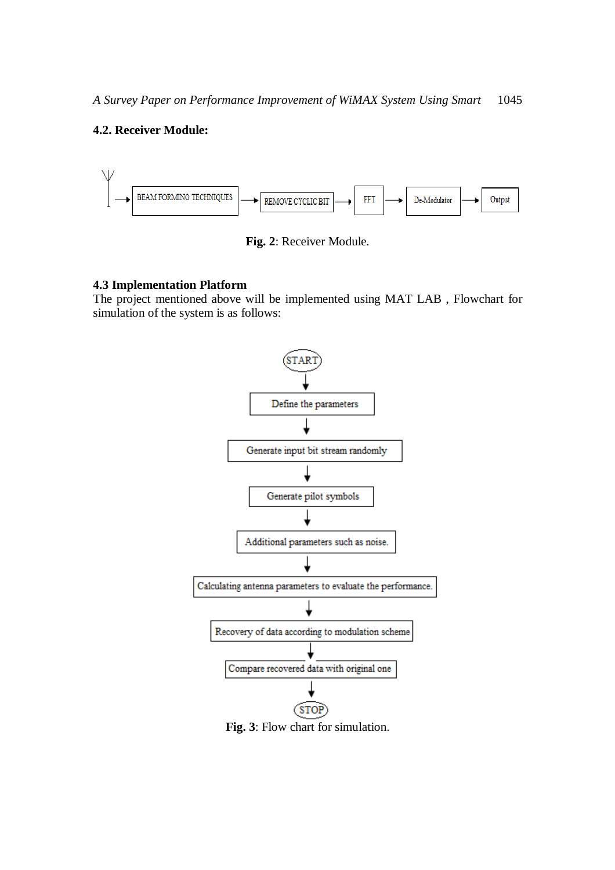## **4.2. Receiver Module:**



**Fig. 2**: Receiver Module.

### **4.3 Implementation Platform**

The project mentioned above will be implemented using MAT LAB , Flowchart for simulation of the system is as follows: